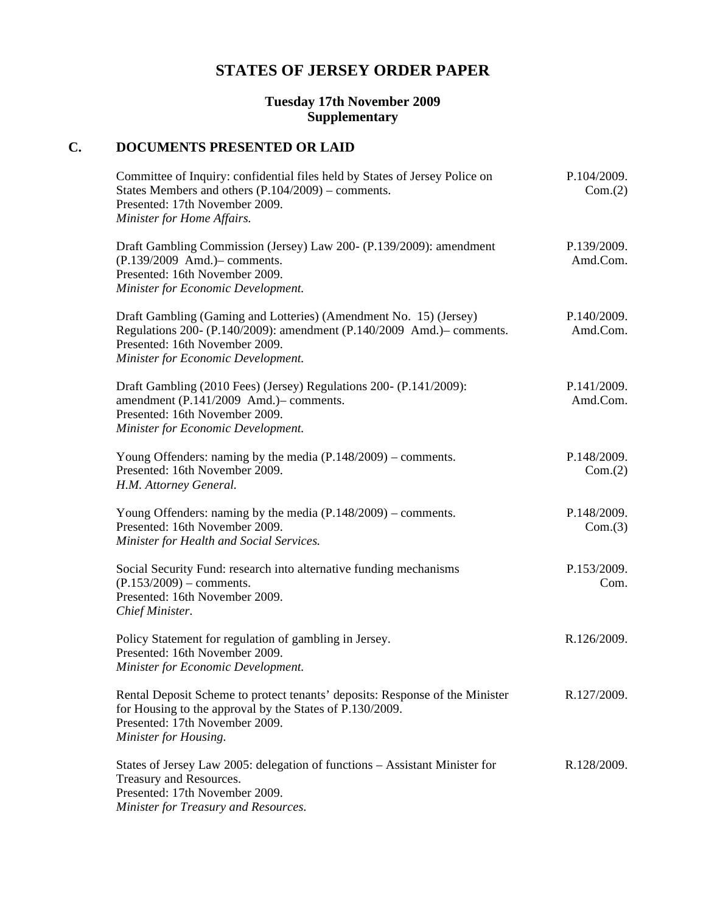# **STATES OF JERSEY ORDER PAPER**

#### **Tuesday 17th November 2009 Supplementary**

# **C. DOCUMENTS PRESENTED OR LAID**

| Committee of Inquiry: confidential files held by States of Jersey Police on<br>States Members and others $(P.104/2009)$ – comments.<br>Presented: 17th November 2009.<br>Minister for Home Affairs.                | P.104/2009.<br>Com.(2)  |
|--------------------------------------------------------------------------------------------------------------------------------------------------------------------------------------------------------------------|-------------------------|
| Draft Gambling Commission (Jersey) Law 200- (P.139/2009): amendment<br>(P.139/2009 Amd.) - comments.<br>Presented: 16th November 2009.<br>Minister for Economic Development.                                       | P.139/2009.<br>Amd.Com. |
| Draft Gambling (Gaming and Lotteries) (Amendment No. 15) (Jersey)<br>Regulations 200- (P.140/2009): amendment (P.140/2009 Amd.)– comments.<br>Presented: 16th November 2009.<br>Minister for Economic Development. | P.140/2009.<br>Amd.Com. |
| Draft Gambling (2010 Fees) (Jersey) Regulations 200- (P.141/2009):<br>amendment (P.141/2009 Amd.)- comments.<br>Presented: 16th November 2009.<br>Minister for Economic Development.                               | P.141/2009.<br>Amd.Com. |
| Young Offenders: naming by the media $(P.148/2009)$ – comments.<br>Presented: 16th November 2009.<br>H.M. Attorney General.                                                                                        | P.148/2009.<br>Com.(2)  |
| Young Offenders: naming by the media $(P.148/2009)$ – comments.<br>Presented: 16th November 2009.<br>Minister for Health and Social Services.                                                                      | P.148/2009.<br>Com.(3)  |
| Social Security Fund: research into alternative funding mechanisms<br>$(P.153/2009)$ – comments.<br>Presented: 16th November 2009.<br>Chief Minister.                                                              | P.153/2009.<br>Com.     |
| Policy Statement for regulation of gambling in Jersey.<br>Presented: 16th November 2009.<br>Minister for Economic Development.                                                                                     | R.126/2009.             |
| Rental Deposit Scheme to protect tenants' deposits: Response of the Minister<br>for Housing to the approval by the States of P.130/2009.<br>Presented: 17th November 2009.<br>Minister for Housing.                | R.127/2009.             |
| States of Jersey Law 2005: delegation of functions - Assistant Minister for<br>Treasury and Resources.<br>Presented: 17th November 2009.<br>Minister for Treasury and Resources.                                   | R.128/2009.             |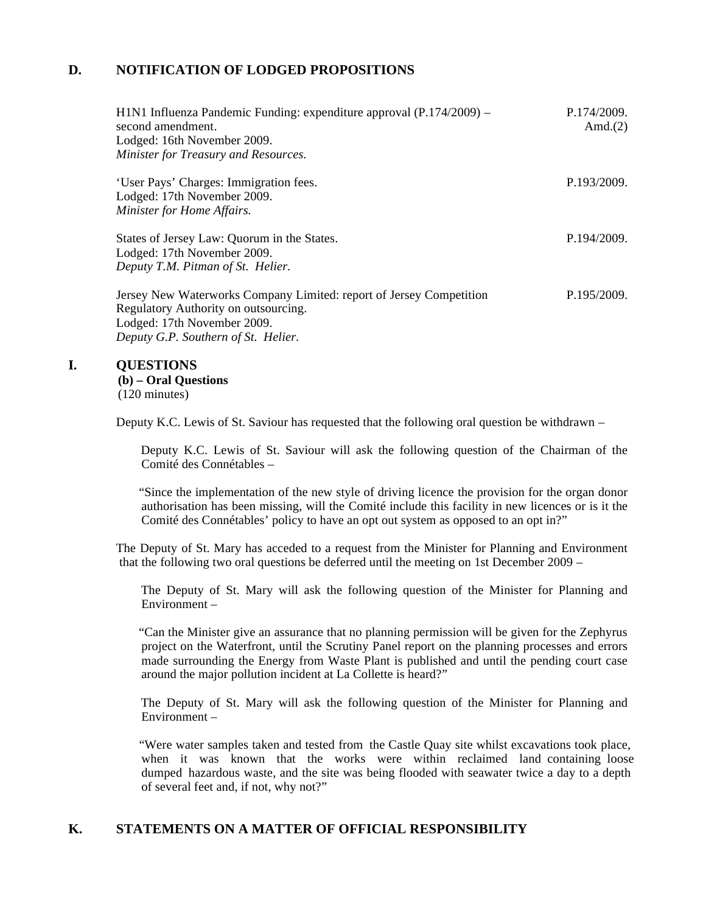# **D. NOTIFICATION OF LODGED PROPOSITIONS**

| H1N1 Influenza Pandemic Funding: expenditure approval (P.174/2009) –<br>second amendment.<br>Lodged: 16th November 2009.<br>Minister for Treasury and Resources.                  | P.174/2009.<br>Amd. $(2)$ |
|-----------------------------------------------------------------------------------------------------------------------------------------------------------------------------------|---------------------------|
| 'User Pays' Charges: Immigration fees.<br>Lodged: 17th November 2009.<br>Minister for Home Affairs.                                                                               | P.193/2009.               |
| States of Jersey Law: Quorum in the States.<br>Lodged: 17th November 2009.<br>Deputy T.M. Pitman of St. Helier.                                                                   | P.194/2009.               |
| Jersey New Waterworks Company Limited: report of Jersey Competition<br>Regulatory Authority on outsourcing.<br>Lodged: 17th November 2009.<br>Deputy G.P. Southern of St. Helier. | P.195/2009.               |

#### **I. QUESTIONS**

**(b) – Oral Questions** (120 minutes)

Deputy K.C. Lewis of St. Saviour has requested that the following oral question be withdrawn –

 Deputy K.C. Lewis of St. Saviour will ask the following question of the Chairman of the Comité des Connétables –

 "Since the implementation of the new style of driving licence the provision for the organ donor authorisation has been missing, will the Comité include this facility in new licences or is it the Comité des Connétables' policy to have an opt out system as opposed to an opt in?"

The Deputy of St. Mary has acceded to a request from the Minister for Planning and Environment that the following two oral questions be deferred until the meeting on 1st December 2009 –

 The Deputy of St. Mary will ask the following question of the Minister for Planning and Environment –

 "Can the Minister give an assurance that no planning permission will be given for the Zephyrus project on the Waterfront, until the Scrutiny Panel report on the planning processes and errors made surrounding the Energy from Waste Plant is published and until the pending court case around the major pollution incident at La Collette is heard?"

 The Deputy of St. Mary will ask the following question of the Minister for Planning and Environment –

 "Were water samples taken and tested from the Castle Quay site whilst excavations took place, when it was known that the works were within reclaimed land containing loose dumped hazardous waste, and the site was being flooded with seawater twice a day to a depth of several feet and, if not, why not?"

## **K. STATEMENTS ON A MATTER OF OFFICIAL RESPONSIBILITY**